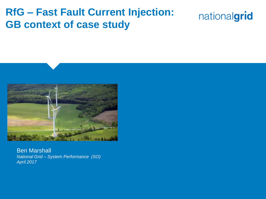#### **RfG – Fast Fault Current Injection: GB context of case study**





Ben Marshall *National Grid – System Performance (SO) April 2017*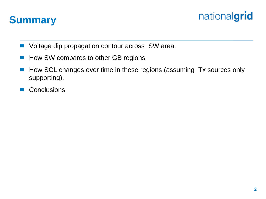



- Voltage dip propagation contour across SW area.
- How SW compares to other GB regions
- How SCL changes over time in these regions (assuming Tx sources only supporting).
- **Conclusions**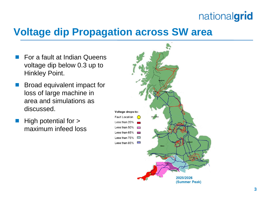#### **Voltage dip Propagation across SW area**

- For a fault at Indian Queens voltage dip below 0.3 up to Hinkley Point.
- Broad equivalent impact for loss of large machine in area and simulations as discussed.
- High potential for > maximum infeed loss

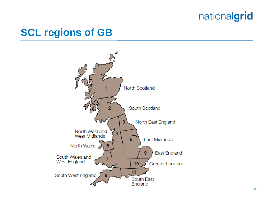#### **SCL regions of GB**

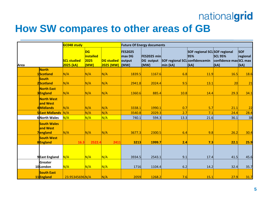#### **How SW compares to other areas of GB**

|      |                                            | <b>GC048 study</b>              |                                               |                                | <b>Future Of Energy documents</b>          |                                  |                                            |                                              |                                                  |                                |
|------|--------------------------------------------|---------------------------------|-----------------------------------------------|--------------------------------|--------------------------------------------|----------------------------------|--------------------------------------------|----------------------------------------------|--------------------------------------------------|--------------------------------|
| Area |                                            | <b>SCL studied</b><br>2025 (kA) | <b>DG</b><br><b>installed</b><br>2025<br>(MW) | <b>DG studied</b><br>2025 (MW) | <b>FES2025</b><br>max DG<br>output<br>(MW) | FES2025 min<br>DG output<br>(MW) | SOF regional SCL confidencemin<br>min (kA) | SOF regional SCL SOF regional<br>95%<br>(kA) | <b>SCL 95%</b><br>confidence max SCL max<br>(kA) | <b>SOF</b><br>regional<br>(kA) |
|      | <b>North</b>                               |                                 |                                               |                                |                                            |                                  |                                            |                                              |                                                  |                                |
|      | 1Scotland                                  | N/A                             | N/A                                           | N/A                            | 1839.5                                     | 1167.6                           | 6.8                                        | 11.9                                         | 16.5                                             | 18.6                           |
|      | <b>South</b><br>2Scotland                  | N/A                             | N/A                                           | N/A                            | 2941.8                                     | 2024.4                           | 9.5                                        | 13.1                                         | 20                                               | 21                             |
|      | <b>North East</b><br>3England              | N/A                             | N/A                                           | N/A                            | 1360.6                                     | 885.4                            | 10.8                                       | 14.4                                         | 29.3                                             | 34.1                           |
|      | <b>North West</b><br>and West<br>4Midlands | N/A                             | N/A                                           | N/A                            | 3338.1                                     | 1990.1                           | 0.7                                        | 5.7                                          | 21.1                                             | 22                             |
|      | <b>5East Midlands</b>                      | N/A                             | N/A                                           | N/A                            | 3540.8                                     | 2029.3                           | 2.7                                        | 7.1                                          | 24.4                                             | 28.4                           |
|      | 6North Wales                               | N/A                             | N/A                                           | N/A                            | 740.1                                      | 594.3                            | 13.3                                       | 21.6                                         | 36.1                                             | 38                             |
|      | <b>South Wales</b><br>and West<br>7england | N/A                             | N/A                                           | N/A                            | 3677.3                                     | 2300.5                           | 6.4                                        | 9.8                                          | 26.2                                             | 30.4                           |
|      | <b>South West</b><br>8England              | 16.3                            | 2522.4                                        | 2411                           | 3213                                       | 1999.7                           | 2.4                                        | 7.3                                          | 22.1                                             | 25.9                           |
|      | 9East England                              | N/A                             | N/A                                           | N/A                            | 3934.5                                     | 2543.1                           | 9.1                                        | 17.4                                         | 41.5                                             | 45.6                           |
|      | Greater<br>10London                        | N/A                             | N/A                                           | N/A                            | 1716                                       | 1104.4                           | 6.2                                        | 14.2                                         | 32.4                                             | 35.7                           |
|      | <b>South East</b><br>11England             | 23.95345696N/A                  |                                               | N/A                            | 2059                                       | 1268.2                           | 7.6                                        | 15.1                                         | 27.9                                             | 31.7                           |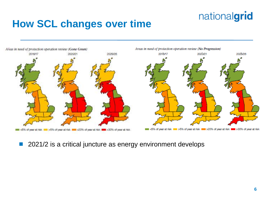#### **How SCL changes over time**



#### 2021/2 is a critical juncture as energy environment develops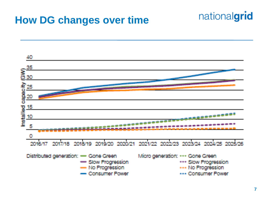### **How DG changes over time**



nationalgrid